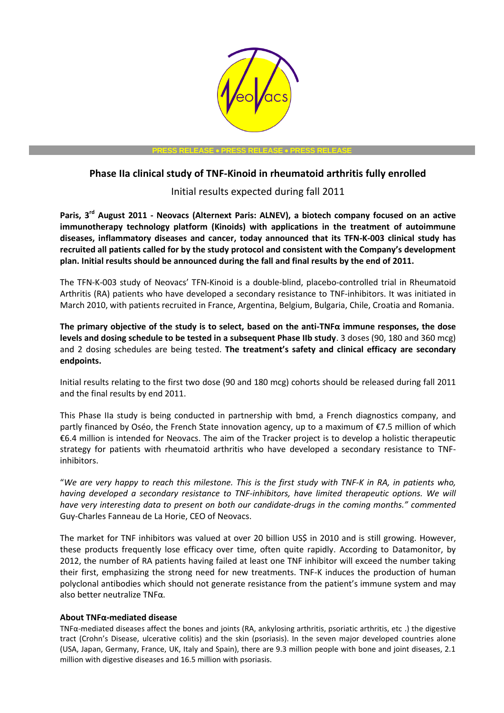

**PRESS RELEASE . PRESS RELEASE . PRESS R** 

## **Phase IIa clinical study of TNF-Kinoid in rheumatoid arthritis fully enrolled**

Initial results expected during fall 2011

**Paris, 3rd August 2011 - [Neovacs](http://www.neovacs.com/) (Alternext Paris: ALNEV), a biotech company focused on an active immunotherapy technology platform (Kinoids) with applications in the treatment of autoimmune diseases, inflammatory diseases and cancer, today announced that its TFN-K-003 clinical study has recruited all patients called for by the study protocol and consistent with the Company's development plan. Initial results should be announced during the fall and final results by the end of 2011.**

The TFN-K-003 study of Neovacs' TFN-Kinoid is a double-blind, placebo-controlled trial in Rheumatoid Arthritis (RA) patients who have developed a secondary resistance to TNF-inhibitors. It was initiated in March 2010, with patients recruited in France, Argentina, Belgium, Bulgaria, Chile, Croatia and Romania.

**The primary objective of the study is to select, based on the anti-TNFα immune responses, the dose levels and dosing schedule to be tested in a subsequent Phase IIb study**. 3 doses (90, 180 and 360 mcg) and 2 dosing schedules are being tested. **The treatment's safety and clinical efficacy are secondary endpoints.**

Initial results relating to the first two dose (90 and 180 mcg) cohorts should be released during fall 2011 and the final results by end 2011.

This Phase IIa study is being conducted in partnership with bmd, a French diagnostics company, and partly financed by Oséo, the French State innovation agency, up to a maximum of €7.5 million of which €6.4 million is intended for Neovacs. The aim of the Tracker project is to develop a holistic therapeutic strategy for patients with rheumatoid arthritis who have developed a secondary resistance to TNFinhibitors.

"*We are very happy to reach this milestone. This is the first study with TNF-K in RA, in patients who, having developed a secondary resistance to TNF-inhibitors, have limited therapeutic options. We will have very interesting data to present on both our candidate-drugs in the coming months." commented* Guy-Charles Fanneau de La Horie, CEO of Neovacs.

The market for TNF inhibitors was valued at over 20 billion US\$ in 2010 and is still growing. However, these products frequently lose efficacy over time, often quite rapidly. According to Datamonitor, by 2012, the number of RA patients having failed at least one TNF inhibitor will exceed the number taking their first, emphasizing the strong need for new treatments. TNF-K induces the production of human polyclonal antibodies which should not generate resistance from the patient's immune system and may also better neutralize TNFα.

## **About TNFα-mediated disease**

TNFα-mediated diseases affect the bones and joints (RA, ankylosing arthritis, psoriatic arthritis, etc .) the digestive tract (Crohn's Disease, ulcerative colitis) and the skin (psoriasis). In the seven major developed countries alone (USA, Japan, Germany, France, UK, Italy and Spain), there are 9.3 million people with bone and joint diseases, 2.1 million with digestive diseases and 16.5 million with psoriasis.